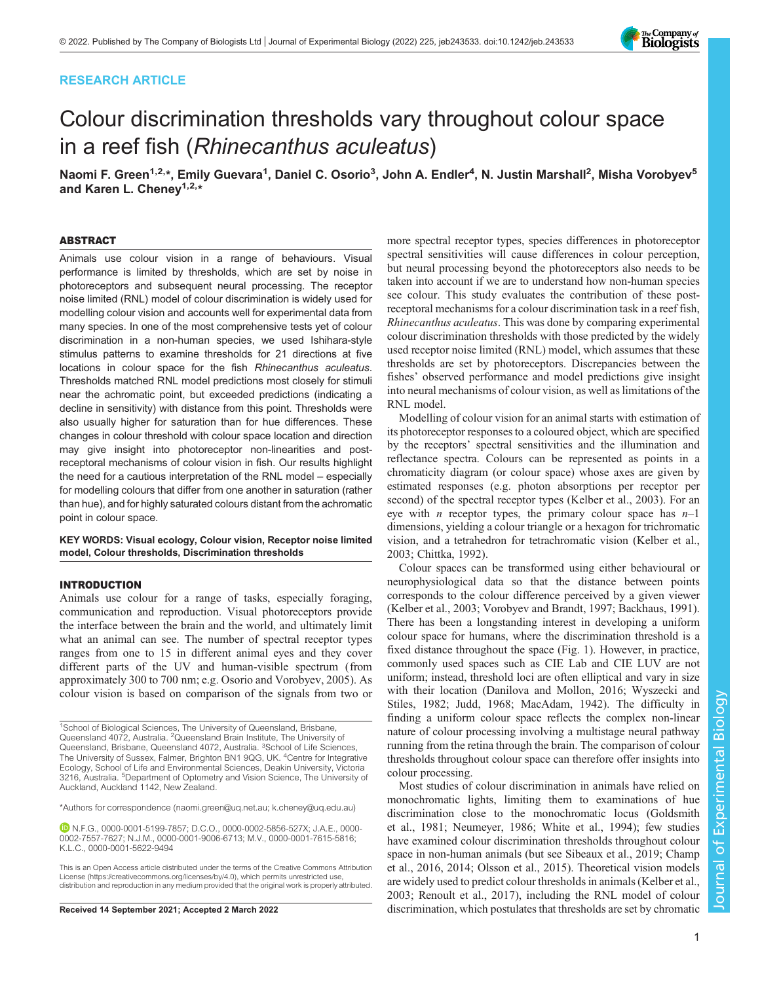# RESEARCH ARTICLE

# Colour discrimination thresholds vary throughout colour space in a reef fish (Rhinecanthus aculeatus)

Naomi F. Green<sup>1,2,</sup>\*, Emily Guevara<sup>1</sup>, Daniel C. Osorio<sup>3</sup>, John A. Endler<sup>4</sup>, N. Justin Marshall<sup>2</sup>, Misha Vorobyev<sup>5</sup> and Karen L. Cheney<sup>1,2,\*</sup>

#### ABSTRACT

Animals use colour vision in a range of behaviours. Visual performance is limited by thresholds, which are set by noise in photoreceptors and subsequent neural processing. The receptor noise limited (RNL) model of colour discrimination is widely used for modelling colour vision and accounts well for experimental data from many species. In one of the most comprehensive tests yet of colour discrimination in a non-human species, we used Ishihara-style stimulus patterns to examine thresholds for 21 directions at five locations in colour space for the fish Rhinecanthus aculeatus. Thresholds matched RNL model predictions most closely for stimuli near the achromatic point, but exceeded predictions (indicating a decline in sensitivity) with distance from this point. Thresholds were also usually higher for saturation than for hue differences. These changes in colour threshold with colour space location and direction may give insight into photoreceptor non-linearities and postreceptoral mechanisms of colour vision in fish. Our results highlight the need for a cautious interpretation of the RNL model – especially for modelling colours that differ from one another in saturation (rather than hue), and for highly saturated colours distant from the achromatic point in colour space.

KEY WORDS: Visual ecology, Colour vision, Receptor noise limited model, Colour thresholds, Discrimination thresholds

# INTRODUCTION

Animals use colour for a range of tasks, especially foraging, communication and reproduction. Visual photoreceptors provide the interface between the brain and the world, and ultimately limit what an animal can see. The number of spectral receptor types ranges from one to 15 in different animal eyes and they cover different parts of the UV and human-visible spectrum (from approximately 300 to 700 nm; e.g. [Osorio and Vorobyev, 2005](#page-10-0)). As colour vision is based on comparison of the signals from two or

<sup>1</sup>School of Biological Sciences, The University of Queensland, Brisbane, Queensland 4072, Australia. <sup>2</sup>Queensland Brain Institute, The University of Queensland, Brisbane, Queensland 4072, Australia. <sup>3</sup>School of Life Sciences, The University of Sussex, Falmer, Brighton BN1 9QG, UK. <sup>4</sup>Centre for Integrative Ecology, School of Life and Environmental Sciences, Deakin University, Victoria<br>3216, Australia. <sup>5</sup>Department of Optometry and Vision Science, The University of Auckland, Auckland 1142, New Zealand.

\*Authors for correspondence ([naomi.green@uq.net.au;](mailto:naomi.green@uq.net.au) [k.cheney@uq.edu.au\)](mailto:k.cheney@uq.edu.au)

N.F.G., [0000-0001-5199-7857](http://orcid.org/0000-0001-5199-7857); D.C.O., [0000-0002-5856-527X](http://orcid.org/0000-0002-5856-527X); J.A.E., [0000-](http://orcid.org/0000-0002-7557-7627) [0002-7557-7627;](http://orcid.org/0000-0002-7557-7627) N.J.M., [0000-0001-9006-6713](http://orcid.org/0000-0001-9006-6713); M.V., [0000-0001-7615-5816](http://orcid.org/0000-0001-7615-5816); K.L.C., [0000-0001-5622-9494](http://orcid.org/0000-0001-5622-9494)

more spectral receptor types, species differences in photoreceptor spectral sensitivities will cause differences in colour perception, but neural processing beyond the photoreceptors also needs to be taken into account if we are to understand how non-human species see colour. This study evaluates the contribution of these postreceptoral mechanisms for a colour discrimination task in a reef fish, Rhinecanthus aculeatus. This was done by comparing experimental colour discrimination thresholds with those predicted by the widely used receptor noise limited (RNL) model, which assumes that these thresholds are set by photoreceptors. Discrepancies between the fishes' observed performance and model predictions give insight into neural mechanisms of colour vision, as well as limitations of the RNL model.

Modelling of colour vision for an animal starts with estimation of its photoreceptor responses to a coloured object, which are specified by the receptors' spectral sensitivities and the illumination and reflectance spectra. Colours can be represented as points in a chromaticity diagram (or colour space) whose axes are given by estimated responses (e.g. photon absorptions per receptor per second) of the spectral receptor types [\(Kelber et al., 2003](#page-10-0)). For an eye with *n* receptor types, the primary colour space has  $n-1$ dimensions, yielding a colour triangle or a hexagon for trichromatic vision, and a tetrahedron for tetrachromatic vision [\(Kelber et al.,](#page-10-0) [2003;](#page-10-0) [Chittka, 1992](#page-9-0)).

Colour spaces can be transformed using either behavioural or neurophysiological data so that the distance between points corresponds to the colour difference perceived by a given viewer [\(Kelber et al., 2003](#page-10-0); [Vorobyev and Brandt, 1997;](#page-10-0) [Backhaus, 1991\)](#page-9-0). There has been a longstanding interest in developing a uniform colour space for humans, where the discrimination threshold is a fixed distance throughout the space [\(Fig. 1\)](#page-1-0). However, in practice, commonly used spaces such as CIE Lab and CIE LUV are not uniform; instead, threshold loci are often elliptical and vary in size with their location ([Danilova and Mollon, 2016](#page-9-0); [Wyszecki and](#page-10-0) [Stiles, 1982](#page-10-0); [Judd, 1968; MacAdam, 1942\)](#page-10-0). The difficulty in finding a uniform colour space reflects the complex non-linear nature of colour processing involving a multistage neural pathway running from the retina through the brain. The comparison of colour thresholds throughout colour space can therefore offer insights into colour processing.

Most studies of colour discrimination in animals have relied on monochromatic lights, limiting them to examinations of hue discrimination close to the monochromatic locus [\(Goldsmith](#page-9-0) [et al., 1981;](#page-9-0) [Neumeyer, 1986; White et al., 1994\)](#page-10-0); few studies have examined colour discrimination thresholds throughout colour space in non-human animals (but see [Sibeaux et al., 2019](#page-10-0); [Champ](#page-9-0) [et al., 2016](#page-9-0), [2014](#page-9-0); [Olsson et al., 2015](#page-10-0)). Theoretical vision models are widely used to predict colour thresholds in animals ([Kelber et al.,](#page-10-0) [2003; Renoult et al., 2017](#page-10-0)), including the RNL model of colour Received 14 September 2021; Accepted 2 March 2022 discrimination, which postulates that thresholds are set by chromatic



This is an Open Access article distributed under the terms of the Creative Commons Attribution License (https://creativecommons.org/licenses/by/4.0), which permits unrestricted use, distribution and reproduction in any medium provided that the original work is properly attributed.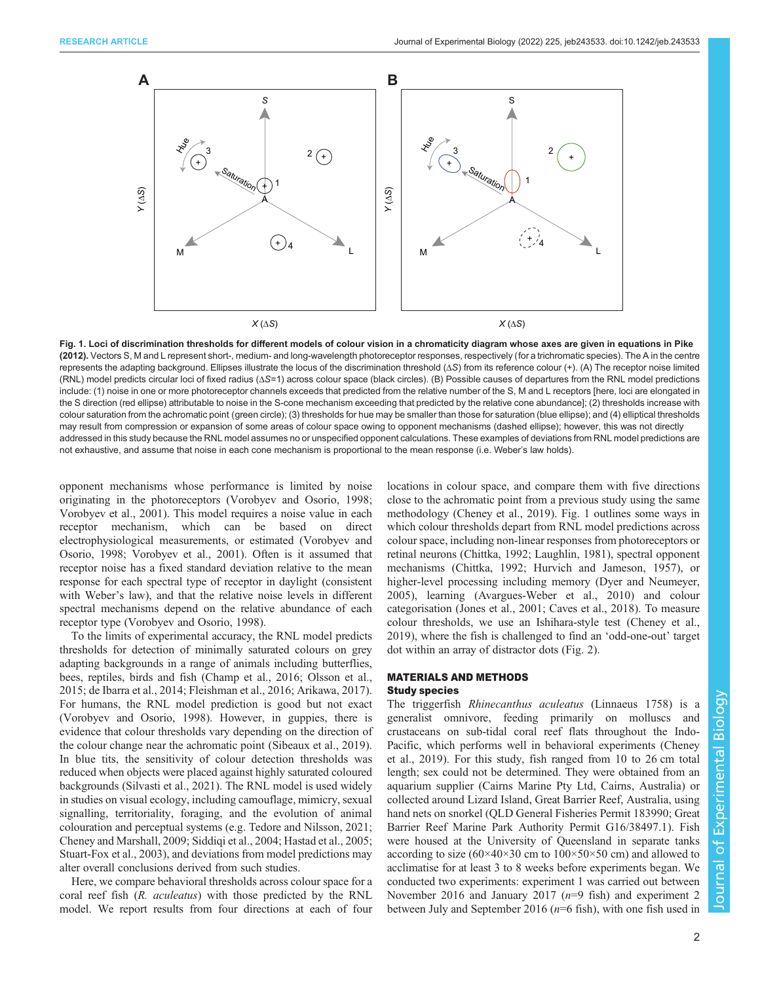<span id="page-1-0"></span>

Fig. 1. Loci of discrimination thresholds for different models of colour vision in a chromaticity diagram whose axes are given in equations in [Pike](#page-10-0) [\(2012\)](#page-10-0). Vectors S, M and L represent short-, medium- and long-wavelength photoreceptor responses, respectively (for a trichromatic species). The A in the centre represents the adapting background. Ellipses illustrate the locus of the discrimination threshold (ΔS) from its reference colour (+). (A) The receptor noise limited (RNL) model predicts circular loci of fixed radius (ΔS=1) across colour space (black circles). (B) Possible causes of departures from the RNL model predictions include: (1) noise in one or more photoreceptor channels exceeds that predicted from the relative number of the S, M and L receptors [here, loci are elongated in the S direction (red ellipse) attributable to noise in the S-cone mechanism exceeding that predicted by the relative cone abundance]; (2) thresholds increase with colour saturation from the achromatic point (green circle); (3) thresholds for hue may be smaller than those for saturation (blue ellipse); and (4) elliptical thresholds may result from compression or expansion of some areas of colour space owing to opponent mechanisms (dashed ellipse); however, this was not directly addressed in this study because the RNL model assumes no or unspecified opponent calculations. These examples of deviations from RNL model predictions are not exhaustive, and assume that noise in each cone mechanism is proportional to the mean response (i.e. Weber's law holds).

opponent mechanisms whose performance is limited by noise originating in the photoreceptors [\(Vorobyev and Osorio, 1998](#page-10-0); [Vorobyev et al., 2001](#page-10-0)). This model requires a noise value in each receptor mechanism, which can be based on direct electrophysiological measurements, or estimated [\(Vorobyev and](#page-10-0) [Osorio, 1998](#page-10-0); [Vorobyev et al., 2001\)](#page-10-0). Often is it assumed that receptor noise has a fixed standard deviation relative to the mean response for each spectral type of receptor in daylight (consistent with Weber's law), and that the relative noise levels in different spectral mechanisms depend on the relative abundance of each receptor type [\(Vorobyev and Osorio, 1998](#page-10-0)).

To the limits of experimental accuracy, the RNL model predicts thresholds for detection of minimally saturated colours on grey adapting backgrounds in a range of animals including butterflies, bees, reptiles, birds and fish [\(Champ et al., 2016;](#page-9-0) [Olsson et al.,](#page-10-0) [2015](#page-10-0); [de Ibarra et al., 2014; Fleishman et al., 2016; Arikawa, 2017\)](#page-9-0). For humans, the RNL model prediction is good but not exact [\(Vorobyev and Osorio, 1998](#page-10-0)). However, in guppies, there is evidence that colour thresholds vary depending on the direction of the colour change near the achromatic point [\(Sibeaux et al., 2019\)](#page-10-0). In blue tits, the sensitivity of colour detection thresholds was reduced when objects were placed against highly saturated coloured backgrounds [\(Silvasti et al., 2021\)](#page-10-0). The RNL model is used widely in studies on visual ecology, including camouflage, mimicry, sexual signalling, territoriality, foraging, and the evolution of animal colouration and perceptual systems (e.g. [Tedore and Nilsson, 2021](#page-10-0); [Cheney and Marshall, 2009](#page-9-0); [Siddiqi et al., 2004; Hastad et al., 2005](#page-10-0); [Stuart-Fox et al., 2003](#page-10-0)), and deviations from model predictions may alter overall conclusions derived from such studies.

Here, we compare behavioral thresholds across colour space for a coral reef fish (R. aculeatus) with those predicted by the RNL model. We report results from four directions at each of four locations in colour space, and compare them with five directions close to the achromatic point from a previous study using the same methodology [\(Cheney et al., 2019\)](#page-9-0). Fig. 1 outlines some ways in which colour thresholds depart from RNL model predictions across colour space, including non-linear responses from photoreceptors or retinal neurons ([Chittka, 1992;](#page-9-0) [Laughlin, 1981\)](#page-10-0), spectral opponent mechanisms [\(Chittka, 1992;](#page-9-0) [Hurvich and Jameson, 1957](#page-10-0)), or higher-level processing including memory ([Dyer and Neumeyer,](#page-9-0) [2005\)](#page-9-0), learning [\(Avargues-Weber et al., 2010](#page-9-0)) and colour categorisation [\(Jones et al., 2001](#page-10-0); [Caves et al., 2018](#page-9-0)). To measure colour thresholds, we use an Ishihara-style test [\(Cheney et al.,](#page-9-0) [2019\)](#page-9-0), where the fish is challenged to find an 'odd-one-out' target dot within an array of distractor dots ([Fig. 2](#page-3-0)).

# MATERIALS AND METHODS Study species

The triggerfish Rhinecanthus aculeatus (Linnaeus 1758) is a generalist omnivore, feeding primarily on molluscs and crustaceans on sub-tidal coral reef flats throughout the Indo-Pacific, which performs well in behavioral experiments [\(Cheney](#page-9-0) [et al., 2019\)](#page-9-0). For this study, fish ranged from 10 to 26 cm total length; sex could not be determined. They were obtained from an aquarium supplier (Cairns Marine Pty Ltd, Cairns, Australia) or collected around Lizard Island, Great Barrier Reef, Australia, using hand nets on snorkel (QLD General Fisheries Permit 183990; Great Barrier Reef Marine Park Authority Permit G16/38497.1). Fish were housed at the University of Queensland in separate tanks according to size  $(60\times40\times30$  cm to  $100\times50\times50$  cm) and allowed to acclimatise for at least 3 to 8 weeks before experiments began. We conducted two experiments: experiment 1 was carried out between November 2016 and January 2017 ( $n=9$  fish) and experiment 2 between July and September 2016 ( $n=6$  fish), with one fish used in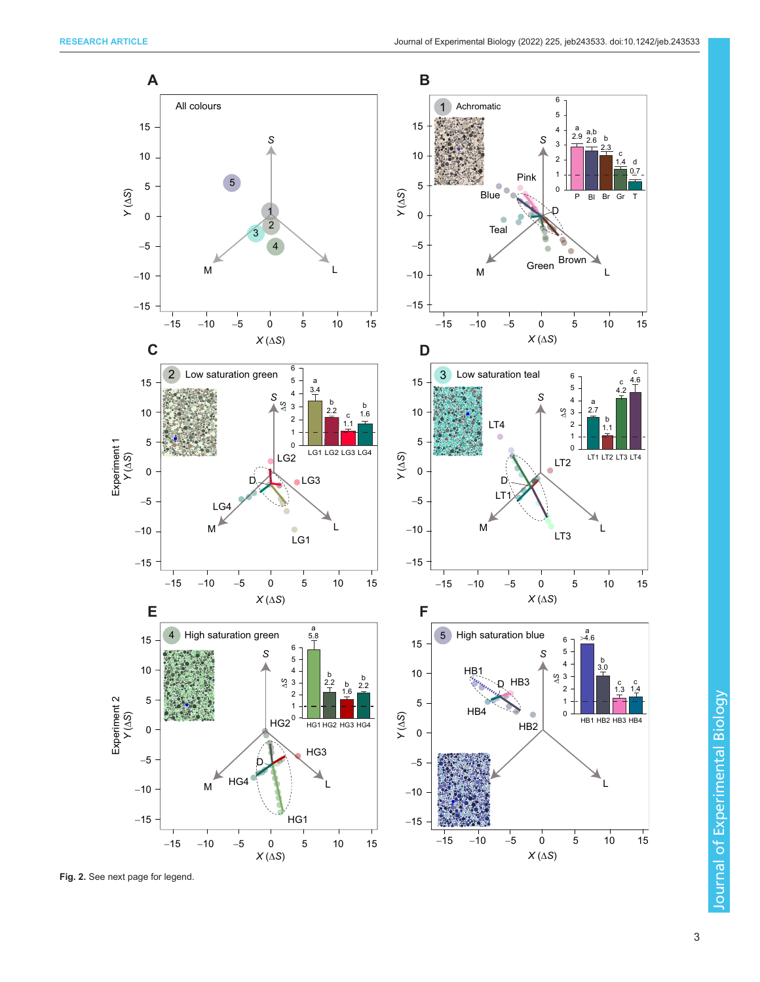

Fig. 2. See next page for legend.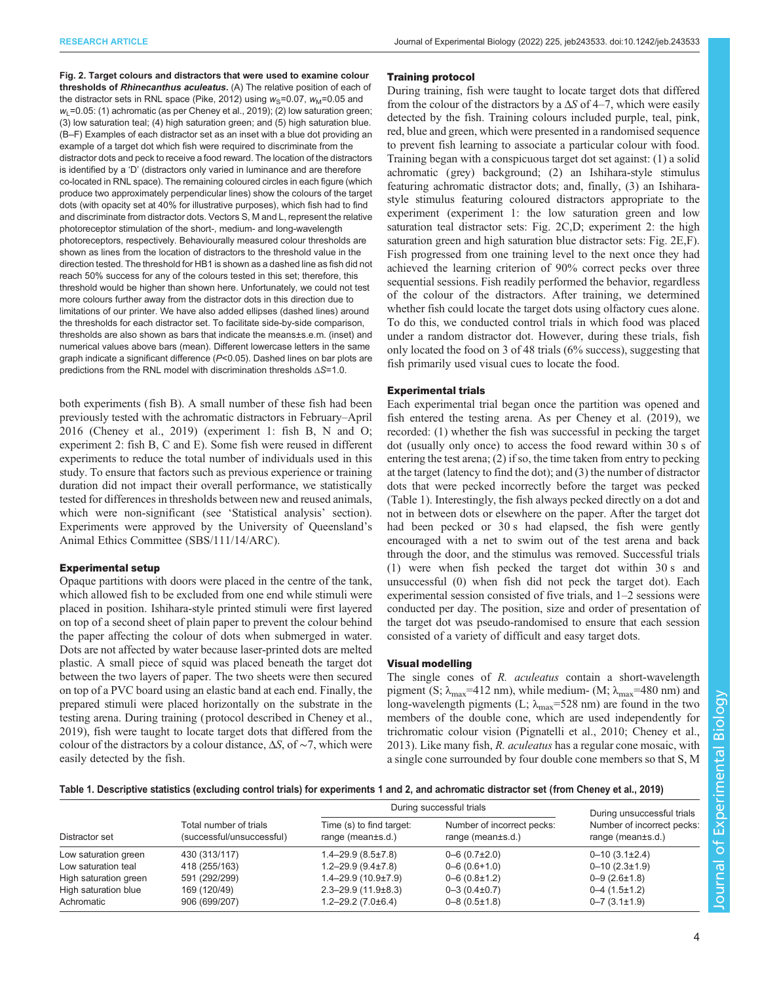<span id="page-3-0"></span>Fig. 2. Target colours and distractors that were used to examine colour thresholds of Rhinecanthus aculeatus. (A) The relative position of each of the distractor sets in RNL space ([Pike, 2012\)](#page-10-0) using  $w<sub>S</sub>=0.07$ ,  $w<sub>M</sub>=0.05$  and  $w_1$ =0.05: (1) achromatic (as per [Cheney et al., 2019](#page-9-0)); (2) low saturation green; (3) low saturation teal; (4) high saturation green; and (5) high saturation blue. (B–F) Examples of each distractor set as an inset with a blue dot providing an example of a target dot which fish were required to discriminate from the distractor dots and peck to receive a food reward. The location of the distractors is identified by a 'D' (distractors only varied in luminance and are therefore co-located in RNL space). The remaining coloured circles in each figure (which produce two approximately perpendicular lines) show the colours of the target dots (with opacity set at 40% for illustrative purposes), which fish had to find and discriminate from distractor dots. Vectors S, M and L, represent the relative photoreceptor stimulation of the short-, medium- and long-wavelength photoreceptors, respectively. Behaviourally measured colour thresholds are shown as lines from the location of distractors to the threshold value in the direction tested. The threshold for HB1 is shown as a dashed line as fish did not reach 50% success for any of the colours tested in this set; therefore, this threshold would be higher than shown here. Unfortunately, we could not test more colours further away from the distractor dots in this direction due to limitations of our printer. We have also added ellipses (dashed lines) around the thresholds for each distractor set. To facilitate side-by-side comparison, thresholds are also shown as bars that indicate the means±s.e.m. (inset) and numerical values above bars (mean). Different lowercase letters in the same graph indicate a significant difference (P<0.05). Dashed lines on bar plots are predictions from the RNL model with discrimination thresholds ΔS=1.0.

both experiments (fish B). A small number of these fish had been previously tested with the achromatic distractors in February–April 2016 [\(Cheney et al., 2019](#page-9-0)) (experiment 1: fish B, N and O; experiment 2: fish B, C and E). Some fish were reused in different experiments to reduce the total number of individuals used in this study. To ensure that factors such as previous experience or training duration did not impact their overall performance, we statistically tested for differences in thresholds between new and reused animals, which were non-significant (see 'Statistical analysis' section). Experiments were approved by the University of Queensland's Animal Ethics Committee (SBS/111/14/ARC).

# Experimental setup

Opaque partitions with doors were placed in the centre of the tank, which allowed fish to be excluded from one end while stimuli were placed in position. Ishihara-style printed stimuli were first layered on top of a second sheet of plain paper to prevent the colour behind the paper affecting the colour of dots when submerged in water. Dots are not affected by water because laser-printed dots are melted plastic. A small piece of squid was placed beneath the target dot between the two layers of paper. The two sheets were then secured on top of a PVC board using an elastic band at each end. Finally, the prepared stimuli were placed horizontally on the substrate in the testing arena. During training ( protocol described in [Cheney et al.,](#page-9-0) [2019](#page-9-0)), fish were taught to locate target dots that differed from the colour of the distractors by a colour distance,  $\Delta S$ , of ~7, which were easily detected by the fish.

# Training protocol

During training, fish were taught to locate target dots that differed from the colour of the distractors by a  $\Delta S$  of 4–7, which were easily detected by the fish. Training colours included purple, teal, pink, red, blue and green, which were presented in a randomised sequence to prevent fish learning to associate a particular colour with food. Training began with a conspicuous target dot set against: (1) a solid achromatic (grey) background; (2) an Ishihara-style stimulus featuring achromatic distractor dots; and, finally, (3) an Ishiharastyle stimulus featuring coloured distractors appropriate to the experiment (experiment 1: the low saturation green and low saturation teal distractor sets: Fig. 2C,D; experiment 2: the high saturation green and high saturation blue distractor sets: Fig. 2E,F). Fish progressed from one training level to the next once they had achieved the learning criterion of 90% correct pecks over three sequential sessions. Fish readily performed the behavior, regardless of the colour of the distractors. After training, we determined whether fish could locate the target dots using olfactory cues alone. To do this, we conducted control trials in which food was placed under a random distractor dot. However, during these trials, fish only located the food on 3 of 48 trials (6% success), suggesting that fish primarily used visual cues to locate the food.

# Experimental trials

Each experimental trial began once the partition was opened and fish entered the testing arena. As per [Cheney et al. \(2019\),](#page-9-0) we recorded: (1) whether the fish was successful in pecking the target dot (usually only once) to access the food reward within 30 s of entering the test arena; (2) if so, the time taken from entry to pecking at the target (latency to find the dot); and (3) the number of distractor dots that were pecked incorrectly before the target was pecked (Table 1). Interestingly, the fish always pecked directly on a dot and not in between dots or elsewhere on the paper. After the target dot had been pecked or 30 s had elapsed, the fish were gently encouraged with a net to swim out of the test arena and back through the door, and the stimulus was removed. Successful trials (1) were when fish pecked the target dot within 30 s and unsuccessful (0) when fish did not peck the target dot). Each experimental session consisted of five trials, and 1–2 sessions were conducted per day. The position, size and order of presentation of the target dot was pseudo-randomised to ensure that each session consisted of a variety of difficult and easy target dots.

# Visual modelling

The single cones of R. *aculeatus* contain a short-wavelength pigment (S;  $\lambda_{\text{max}}$ =412 nm), while medium- (M;  $\lambda_{\text{max}}$ =480 nm) and long-wavelength pigments (L;  $\lambda_{\text{max}}$ =528 nm) are found in the two members of the double cone, which are used independently for trichromatic colour vision ([Pignatelli et al., 2010](#page-10-0); [Cheney et al.,](#page-9-0) [2013\)](#page-9-0). Like many fish, R. aculeatus has a regular cone mosaic, with a single cone surrounded by four double cone members so that S, M

## Table 1. Descriptive statistics (excluding control trials) for experiments 1 and 2, and achromatic distractor set (from [Cheney et al., 2019](#page-9-0))

| Distractor set        | Total number of trials<br>(successful/unsuccessful) | During successful trials                            |                                                 | During unsuccessful trials                      |
|-----------------------|-----------------------------------------------------|-----------------------------------------------------|-------------------------------------------------|-------------------------------------------------|
|                       |                                                     | Time (s) to find target:<br>range (mean $\pm$ s.d.) | Number of incorrect pecks:<br>range (mean±s.d.) | Number of incorrect pecks:<br>range (mean±s.d.) |
| Low saturation green  | 430 (313/117)                                       | $1.4 - 29.9(8.5 \pm 7.8)$                           | $0 - 6$ (0.7 $\pm$ 2.0)                         | $0 - 10$ (3.1 $\pm$ 2.4)                        |
| Low saturation teal   | 418 (255/163)                                       | $1.2 - 29.9(9.4 \pm 7.8)$                           | $0 - 6$ $(0.6 + 1.0)$                           | $0 - 10$ $(2.3 \pm 1.9)$                        |
| High saturation green | 591 (292/299)                                       | $1.4 - 29.9(10.9 \pm 7.9)$                          | $0 - 6$ (0.8 $\pm$ 1.2)                         | $0 - 9$ (2.6 $\pm$ 1.8)                         |
| High saturation blue  | 169 (120/49)                                        | $2.3 - 29.9(11.9 \pm 8.3)$                          | $0 - 3 (0.4 \pm 0.7)$                           | $0-4$ (1.5 $\pm$ 1.2)                           |
| Achromatic            | 906 (699/207)                                       | $1.2 - 29.2$ (7.0 $\pm$ 6.4)                        | $0 - 8$ $(0.5 \pm 1.8)$                         | $0 - 7$ (3.1 $\pm$ 1.9)                         |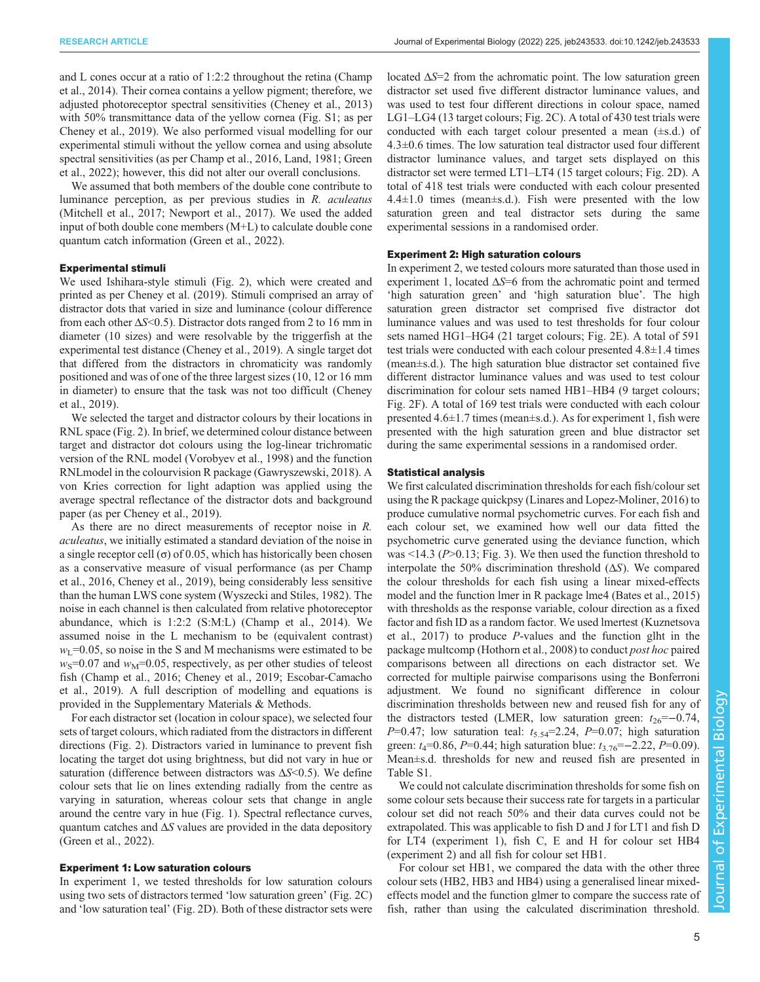and L cones occur at a ratio of 1:2:2 throughout the retina ([Champ](#page-9-0) [et al., 2014\)](#page-9-0). Their cornea contains a yellow pigment; therefore, we adjusted photoreceptor spectral sensitivities [\(Cheney et al., 2013\)](#page-9-0) with 50% transmittance data of the yellow cornea ([Fig. S1;](https://journals.biologists.com/jeb/article-lookup/DOI/10.1242/jeb.243533) as per [Cheney et al., 2019\)](#page-9-0). We also performed visual modelling for our experimental stimuli without the yellow cornea and using absolute spectral sensitivities (as per [Champ et al., 2016,](#page-9-0) [Land, 1981](#page-10-0); [Green](#page-9-0) [et al., 2022\)](#page-9-0); however, this did not alter our overall conclusions.

We assumed that both members of the double cone contribute to luminance perception, as per previous studies in R. aculeatus [\(Mitchell et al., 2017](#page-10-0); [Newport et al., 2017\)](#page-10-0). We used the added input of both double cone members (M+L) to calculate double cone quantum catch information ([Green et al., 2022](#page-9-0)).

## Experimental stimuli

We used Ishihara-style stimuli ([Fig. 2\)](#page-3-0), which were created and printed as per [Cheney et al. \(2019\)](#page-9-0). Stimuli comprised an array of distractor dots that varied in size and luminance (colour difference from each other  $\Delta S < 0.5$ ). Distractor dots ranged from 2 to 16 mm in diameter (10 sizes) and were resolvable by the triggerfish at the experimental test distance [\(Cheney et al., 2019\)](#page-9-0). A single target dot that differed from the distractors in chromaticity was randomly positioned and was of one of the three largest sizes (10, 12 or 16 mm in diameter) to ensure that the task was not too difficult [\(Cheney](#page-9-0) [et al., 2019\)](#page-9-0).

We selected the target and distractor colours by their locations in RNL space [\(Fig. 2\)](#page-3-0). In brief, we determined colour distance between target and distractor dot colours using the log-linear trichromatic version of the RNL model [\(Vorobyev et al., 1998](#page-10-0)) and the function RNLmodel in the colourvision R package ([Gawryszewski, 2018\)](#page-9-0). A von Kries correction for light adaption was applied using the average spectral reflectance of the distractor dots and background paper (as per [Cheney et al., 2019\)](#page-9-0).

As there are no direct measurements of receptor noise in R. aculeatus, we initially estimated a standard deviation of the noise in a single receptor cell  $\sigma$  of 0.05, which has historically been chosen as a conservative measure of visual performance (as per [Champ](#page-9-0) [et al., 2016](#page-9-0), [Cheney et al., 2019\)](#page-9-0), being considerably less sensitive than the human LWS cone system [\(Wyszecki and Stiles, 1982\)](#page-10-0). The noise in each channel is then calculated from relative photoreceptor abundance, which is 1:2:2 (S:M:L) ([Champ et al., 2014\)](#page-9-0). We assumed noise in the L mechanism to be (equivalent contrast)  $w<sub>L</sub>=0.05$ , so noise in the S and M mechanisms were estimated to be  $w<sub>S</sub>=0.07$  and  $w<sub>M</sub>=0.05$ , respectively, as per other studies of teleost fish ([Champ et al., 2016](#page-9-0); [Cheney et al., 2019](#page-9-0); [Escobar-Camacho](#page-9-0) [et al., 2019](#page-9-0)). A full description of modelling and equations is provided in the Supplementary Materials & Methods.

For each distractor set (location in colour space), we selected four sets of target colours, which radiated from the distractors in different directions ([Fig. 2\)](#page-3-0). Distractors varied in luminance to prevent fish locating the target dot using brightness, but did not vary in hue or saturation (difference between distractors was  $\Delta S \leq 0.5$ ). We define colour sets that lie on lines extending radially from the centre as varying in saturation, whereas colour sets that change in angle around the centre vary in hue ([Fig. 1](#page-1-0)). Spectral reflectance curves, quantum catches and  $\Delta S$  values are provided in the data depository [\(Green et al., 2022](#page-9-0)).

## Experiment 1: Low saturation colours

In experiment 1, we tested thresholds for low saturation colours using two sets of distractors termed 'low saturation green' ([Fig. 2C](#page-3-0)) and 'low saturation teal' [\(Fig. 2D](#page-3-0)). Both of these distractor sets were

located  $\Delta S=2$  from the achromatic point. The low saturation green distractor set used five different distractor luminance values, and was used to test four different directions in colour space, named LG1–LG4 (13 target colours; [Fig. 2C](#page-3-0)). A total of 430 test trials were conducted with each target colour presented a mean (±s.d.) of 4.3±0.6 times. The low saturation teal distractor used four different distractor luminance values, and target sets displayed on this distractor set were termed LT1–LT4 (15 target colours; [Fig. 2](#page-3-0)D). A total of 418 test trials were conducted with each colour presented  $4.4 \pm 1.0$  times (mean $\pm$ s.d.). Fish were presented with the low saturation green and teal distractor sets during the same experimental sessions in a randomised order.

# Experiment 2: High saturation colours

In experiment 2, we tested colours more saturated than those used in experiment 1, located  $\Delta S = 6$  from the achromatic point and termed 'high saturation green' and 'high saturation blue'. The high saturation green distractor set comprised five distractor dot luminance values and was used to test thresholds for four colour sets named HG1–HG4 (21 target colours; [Fig. 2](#page-3-0)E). A total of 591 test trials were conducted with each colour presented 4.8±1.4 times (mean±s.d.). The high saturation blue distractor set contained five different distractor luminance values and was used to test colour discrimination for colour sets named HB1–HB4 (9 target colours; [Fig. 2](#page-3-0)F). A total of 169 test trials were conducted with each colour presented 4.6±1.7 times (mean±s.d.). As for experiment 1, fish were presented with the high saturation green and blue distractor set during the same experimental sessions in a randomised order.

# Statistical analysis

We first calculated discrimination thresholds for each fish/colour set using the R package quickpsy ([Linares and Lopez-Moliner, 2016\)](#page-10-0) to produce cumulative normal psychometric curves. For each fish and each colour set, we examined how well our data fitted the psychometric curve generated using the deviance function, which was  $\leq$ 14.3 (P $\geq$ 0.13; [Fig. 3\)](#page-6-0). We then used the function threshold to interpolate the 50% discrimination threshold  $(\Delta S)$ . We compared the colour thresholds for each fish using a linear mixed-effects model and the function lmer in R package lme4 [\(Bates et al., 2015\)](#page-9-0) with thresholds as the response variable, colour direction as a fixed factor and fish ID as a random factor. We used lmertest ([Kuznetsova](#page-10-0) [et al., 2017\)](#page-10-0) to produce P-values and the function glht in the package multcomp ([Hothorn et al., 2008\)](#page-10-0) to conduct post hoc paired comparisons between all directions on each distractor set. We corrected for multiple pairwise comparisons using the Bonferroni adjustment. We found no significant difference in colour discrimination thresholds between new and reused fish for any of the distractors tested (LMER, low saturation green:  $t_{26}=-0.74$ ,  $P=0.47$ ; low saturation teal:  $t_{5.54}=2.24$ ,  $P=0.07$ ; high saturation green:  $t_4$ =0.86, P=0.44; high saturation blue:  $t_3$ <sub>76</sub>=−2.22, P=0.09). Mean±s.d. thresholds for new and reused fish are presented in [Table S1.](https://journals.biologists.com/jeb/article-lookup/DOI/10.1242/jeb.243533)

We could not calculate discrimination thresholds for some fish on some colour sets because their success rate for targets in a particular colour set did not reach 50% and their data curves could not be extrapolated. This was applicable to fish D and J for LT1 and fish D for LT4 (experiment 1), fish C, E and H for colour set HB4 (experiment 2) and all fish for colour set HB1.

For colour set HB1, we compared the data with the other three colour sets (HB2, HB3 and HB4) using a generalised linear mixedeffects model and the function glmer to compare the success rate of fish, rather than using the calculated discrimination threshold.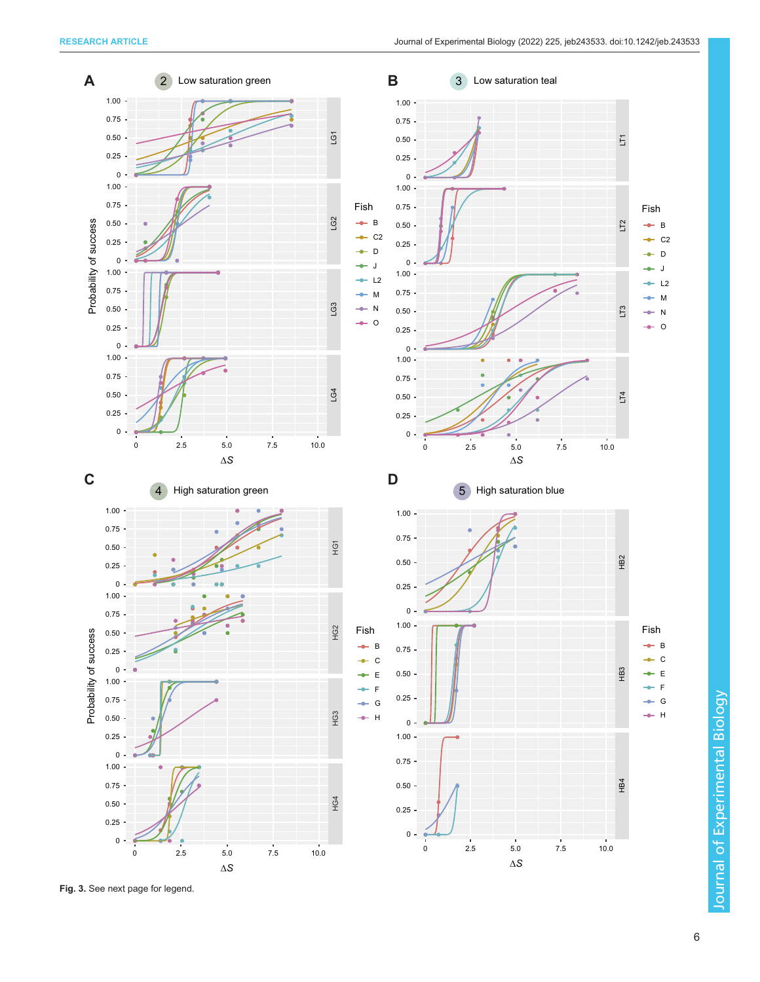

Fig. 3. See next page for legend.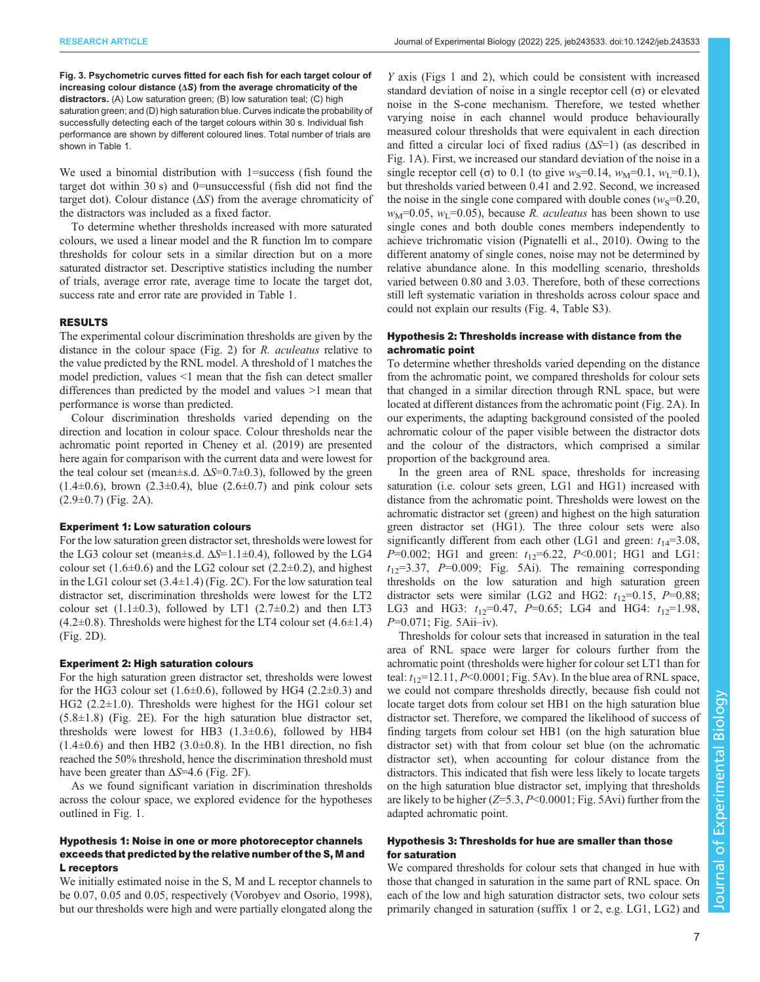<span id="page-6-0"></span>Fig. 3. Psychometric curves fitted for each fish for each target colour of increasing colour distance (ΔS) from the average chromaticity of the distractors. (A) Low saturation green; (B) low saturation teal; (C) high saturation green; and (D) high saturation blue. Curves indicate the probability of successfully detecting each of the target colours within 30 s. Individual fish performance are shown by different coloured lines. Total number of trials are shown in [Table 1](#page-3-0).

We used a binomial distribution with 1=success (fish found the target dot within 30 s) and 0=unsuccessful (fish did not find the target dot). Colour distance  $(\Delta S)$  from the average chromaticity of the distractors was included as a fixed factor.

To determine whether thresholds increased with more saturated colours, we used a linear model and the R function lm to compare thresholds for colour sets in a similar direction but on a more saturated distractor set. Descriptive statistics including the number of trials, average error rate, average time to locate the target dot, success rate and error rate are provided in [Table 1.](#page-3-0)

# RESULTS

The experimental colour discrimination thresholds are given by the distance in the colour space ([Fig. 2](#page-3-0)) for R. aculeatus relative to the value predicted by the RNL model. A threshold of 1 matches the model prediction, values <1 mean that the fish can detect smaller differences than predicted by the model and values >1 mean that performance is worse than predicted.

Colour discrimination thresholds varied depending on the direction and location in colour space. Colour thresholds near the achromatic point reported in [Cheney et al. \(2019\)](#page-9-0) are presented here again for comparison with the current data and were lowest for the teal colour set (mean $\pm$ s.d.  $\Delta S$ =0.7 $\pm$ 0.3), followed by the green  $(1.4\pm0.6)$ , brown  $(2.3\pm0.4)$ , blue  $(2.6\pm0.7)$  and pink colour sets  $(2.9\pm0.7)$  [\(Fig. 2](#page-3-0)A).

## Experiment 1: Low saturation colours

For the low saturation green distractor set, thresholds were lowest for the LG3 colour set (mean $\pm$ s.d.  $\Delta S$ =1.1 $\pm$ 0.4), followed by the LG4 colour set  $(1.6\pm0.6)$  and the LG2 colour set  $(2.2\pm0.2)$ , and highest in the LG1 colour set  $(3.4\pm1.4)$  ([Fig. 2](#page-3-0)C). For the low saturation teal distractor set, discrimination thresholds were lowest for the LT2 colour set  $(1.1\pm0.3)$ , followed by LT1  $(2.7\pm0.2)$  and then LT3  $(4.2\pm0.8)$ . Thresholds were highest for the LT4 colour set  $(4.6\pm1.4)$ [\(Fig. 2](#page-3-0)D).

# Experiment 2: High saturation colours

For the high saturation green distractor set, thresholds were lowest for the HG3 colour set  $(1.6\pm0.6)$ , followed by HG4  $(2.2\pm0.3)$  and HG2 (2.2±1.0). Thresholds were highest for the HG1 colour set  $(5.8\pm1.8)$  ([Fig. 2](#page-3-0)E). For the high saturation blue distractor set, thresholds were lowest for HB3  $(1.3\pm0.6)$ , followed by HB4  $(1.4\pm0.6)$  and then HB2  $(3.0\pm0.8)$ . In the HB1 direction, no fish reached the 50% threshold, hence the discrimination threshold must have been greater than  $\Delta S$ =4.6 [\(Fig. 2F](#page-3-0)).

As we found significant variation in discrimination thresholds across the colour space, we explored evidence for the hypotheses outlined in [Fig. 1.](#page-1-0)

# Hypothesis 1: Noise in one or more photoreceptor channels exceeds that predicted by the relative number of the S, M and L receptors

We initially estimated noise in the S, M and L receptor channels to be 0.07, 0.05 and 0.05, respectively ([Vorobyev and Osorio, 1998\)](#page-10-0), but our thresholds were high and were partially elongated along the

Y axis ([Figs 1](#page-1-0) and [2\)](#page-3-0), which could be consistent with increased standard deviation of noise in a single receptor cell  $(\sigma)$  or elevated noise in the S-cone mechanism. Therefore, we tested whether varying noise in each channel would produce behaviourally measured colour thresholds that were equivalent in each direction and fitted a circular loci of fixed radius  $(\Delta S=1)$  (as described in [Fig. 1A](#page-1-0)). First, we increased our standard deviation of the noise in a single receptor cell (σ) to 0.1 (to give  $w_s$ =0.14,  $w_M$ =0.1,  $w_l$ =0.1), but thresholds varied between 0.41 and 2.92. Second, we increased the noise in the single cone compared with double cones ( $w<sub>S</sub>=0.20$ ,  $w_M$ =0.05,  $w_L$ =0.05), because R. *aculeatus* has been shown to use single cones and both double cones members independently to achieve trichromatic vision ([Pignatelli et al., 2010](#page-10-0)). Owing to the different anatomy of single cones, noise may not be determined by relative abundance alone. In this modelling scenario, thresholds varied between 0.80 and 3.03. Therefore, both of these corrections still left systematic variation in thresholds across colour space and could not explain our results ([Fig. 4](#page-7-0), [Table S3](https://journals.biologists.com/jeb/article-lookup/DOI/10.1242/jeb.243533)).

# Hypothesis 2: Thresholds increase with distance from the achromatic point

To determine whether thresholds varied depending on the distance from the achromatic point, we compared thresholds for colour sets that changed in a similar direction through RNL space, but were located at different distances from the achromatic point [\(Fig. 2](#page-3-0)A). In our experiments, the adapting background consisted of the pooled achromatic colour of the paper visible between the distractor dots and the colour of the distractors, which comprised a similar proportion of the background area.

In the green area of RNL space, thresholds for increasing saturation (i.e. colour sets green, LG1 and HG1) increased with distance from the achromatic point. Thresholds were lowest on the achromatic distractor set (green) and highest on the high saturation green distractor set (HG1). The three colour sets were also significantly different from each other (LG1 and green:  $t_{14}=3.08$ ,  $P=0.002$ ; HG1 and green:  $t_{12}=6.22$ ,  $P<0.001$ ; HG1 and LG1:  $t_{12}=3.37$ ,  $P=0.009$ ; [Fig. 5A](#page-8-0)i). The remaining corresponding thresholds on the low saturation and high saturation green distractor sets were similar (LG2 and HG2:  $t_{12}=0.15$ ,  $P=0.88$ ; LG3 and HG3:  $t_{12}$ =0.47, P=0.65; LG4 and HG4:  $t_{12}$ =1.98, P=0.071; [Fig. 5](#page-8-0)Aii-iv).

Thresholds for colour sets that increased in saturation in the teal area of RNL space were larger for colours further from the achromatic point (thresholds were higher for colour set LT1 than for teal:  $t_{12}=12.11$ ,  $P<0.0001$ ; [Fig. 5A](#page-8-0)v). In the blue area of RNL space, we could not compare thresholds directly, because fish could not locate target dots from colour set HB1 on the high saturation blue distractor set. Therefore, we compared the likelihood of success of finding targets from colour set HB1 (on the high saturation blue distractor set) with that from colour set blue (on the achromatic distractor set), when accounting for colour distance from the distractors. This indicated that fish were less likely to locate targets on the high saturation blue distractor set, implying that thresholds are likely to be higher  $(Z=5.3, P<0.0001;$  [Fig. 5A](#page-8-0)vi) further from the adapted achromatic point.

# Hypothesis 3: Thresholds for hue are smaller than those for saturation

We compared thresholds for colour sets that changed in hue with those that changed in saturation in the same part of RNL space. On each of the low and high saturation distractor sets, two colour sets primarily changed in saturation (suffix 1 or 2, e.g. LG1, LG2) and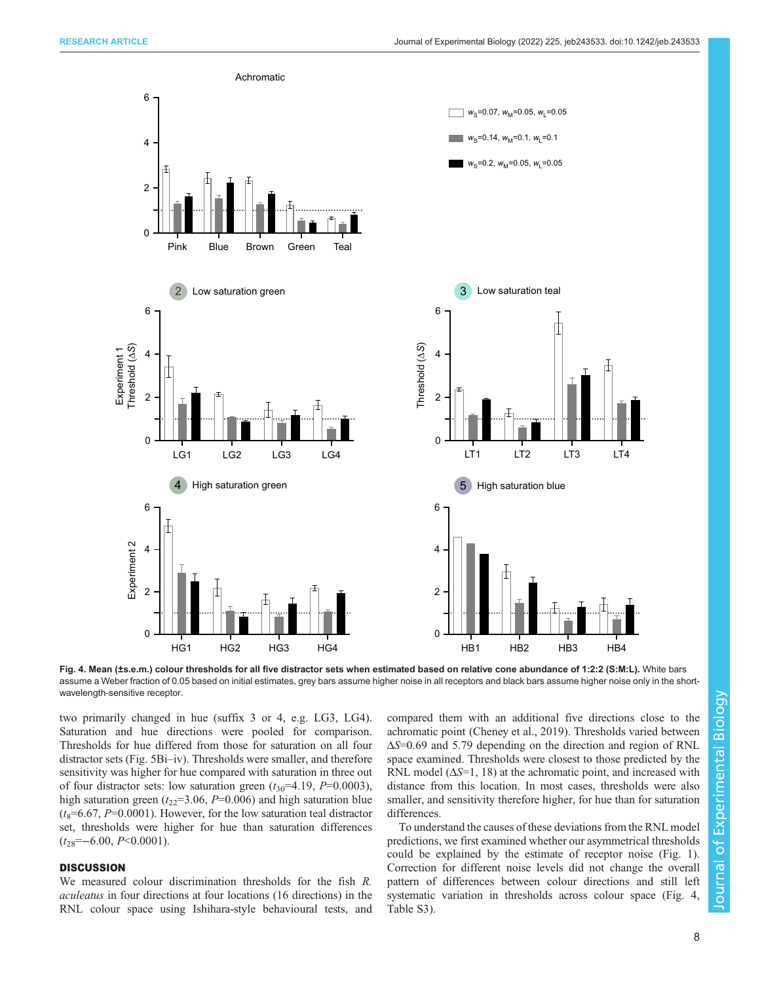<span id="page-7-0"></span>

Fig. 4. Mean (±s.e.m.) colour thresholds for all five distractor sets when estimated based on relative cone abundance of 1:2:2 (S:M:L). White bars assume a Weber fraction of 0.05 based on initial estimates, grey bars assume higher noise in all receptors and black bars assume higher noise only in the shortwavelength-sensitive receptor.

two primarily changed in hue (suffix 3 or 4, e.g. LG3, LG4). Saturation and hue directions were pooled for comparison. Thresholds for hue differed from those for saturation on all four distractor sets [\(Fig. 5](#page-8-0)Bi–iv). Thresholds were smaller, and therefore sensitivity was higher for hue compared with saturation in three out of four distractor sets: low saturation green  $(t_{30} = 4.19, P = 0.0003)$ , high saturation green ( $t_{22}=3.06$ ,  $P=0.006$ ) and high saturation blue  $(t_8=6.67, P=0.0001)$ . However, for the low saturation teal distractor set, thresholds were higher for hue than saturation differences  $(t_{28}=-6.00, P<0.0001).$ 

# **DISCUSSION**

We measured colour discrimination thresholds for the fish R. aculeatus in four directions at four locations (16 directions) in the RNL colour space using Ishihara-style behavioural tests, and compared them with an additional five directions close to the achromatic point [\(Cheney et al., 2019\)](#page-9-0). Thresholds varied between ΔS=0.69 and 5.79 depending on the direction and region of RNL space examined. Thresholds were closest to those predicted by the RNL model  $(\Delta S=1, 18)$  at the achromatic point, and increased with distance from this location. In most cases, thresholds were also smaller, and sensitivity therefore higher, for hue than for saturation differences.

To understand the causes of these deviations from the RNL model predictions, we first examined whether our asymmetrical thresholds could be explained by the estimate of receptor noise [\(Fig. 1\)](#page-1-0). Correction for different noise levels did not change the overall pattern of differences between colour directions and still left systematic variation in thresholds across colour space (Fig. [Table S3\)](https://journals.biologists.com/jeb/article-lookup/DOI/10.1242/jeb.243533).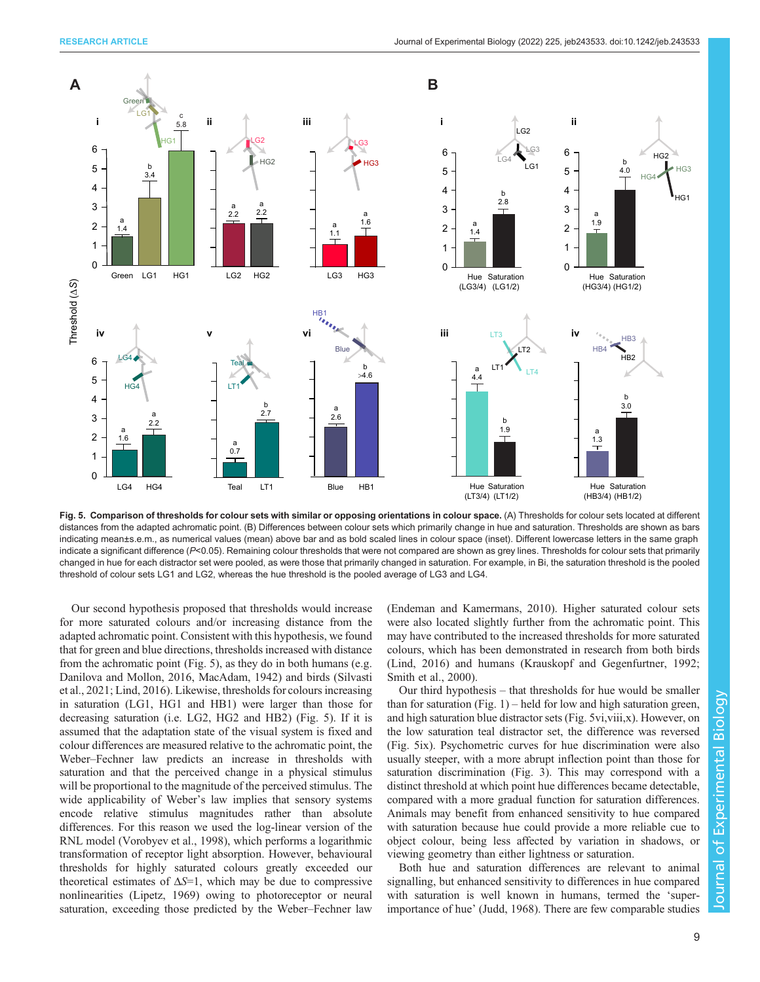<span id="page-8-0"></span>

Fig. 5. Comparison of thresholds for colour sets with similar or opposing orientations in colour space. (A) Thresholds for colour sets located at different distances from the adapted achromatic point. (B) Differences between colour sets which primarily change in hue and saturation. Thresholds are shown as bars indicating mean±s.e.m., as numerical values (mean) above bar and as bold scaled lines in colour space (inset). Different lowercase letters in the same graph indicate a significant difference (P<0.05). Remaining colour thresholds that were not compared are shown as grey lines. Thresholds for colour sets that primarily changed in hue for each distractor set were pooled, as were those that primarily changed in saturation. For example, in Bi, the saturation threshold is the pooled threshold of colour sets LG1 and LG2, whereas the hue threshold is the pooled average of LG3 and LG4.

Our second hypothesis proposed that thresholds would increase for more saturated colours and/or increasing distance from the adapted achromatic point. Consistent with this hypothesis, we found that for green and blue directions, thresholds increased with distance from the achromatic point (Fig. 5), as they do in both humans (e.g. [Danilova and Mollon, 2016,](#page-9-0) [MacAdam, 1942](#page-10-0)) and birds [\(Silvasti](#page-10-0) [et al., 2021; Lind, 2016\)](#page-10-0). Likewise, thresholds for colours increasing in saturation (LG1, HG1 and HB1) were larger than those for decreasing saturation (i.e. LG2, HG2 and HB2) (Fig. 5). If it is assumed that the adaptation state of the visual system is fixed and colour differences are measured relative to the achromatic point, the Weber–Fechner law predicts an increase in thresholds with saturation and that the perceived change in a physical stimulus will be proportional to the magnitude of the perceived stimulus. The wide applicability of Weber's law implies that sensory systems encode relative stimulus magnitudes rather than absolute differences. For this reason we used the log-linear version of the RNL model ([Vorobyev et al., 1998](#page-10-0)), which performs a logarithmic transformation of receptor light absorption. However, behavioural thresholds for highly saturated colours greatly exceeded our theoretical estimates of  $\Delta S=1$ , which may be due to compressive nonlinearities [\(Lipetz, 1969\)](#page-10-0) owing to photoreceptor or neural saturation, exceeding those predicted by the Weber–Fechner law [\(Endeman and Kamermans, 2010\)](#page-9-0). Higher saturated colour sets were also located slightly further from the achromatic point. This may have contributed to the increased thresholds for more saturated colours, which has been demonstrated in research from both birds [\(Lind, 2016](#page-10-0)) and humans ([Krauskopf and Gegenfurtner, 1992](#page-10-0); [Smith et al., 2000\)](#page-10-0).

Our third hypothesis – that thresholds for hue would be smaller than for saturation (Fig.  $1$ ) – held for low and high saturation green, and high saturation blue distractor sets (Fig. 5vi,viii,x). However, on the low saturation teal distractor set, the difference was reversed (Fig. 5ix). Psychometric curves for hue discrimination were also usually steeper, with a more abrupt inflection point than those for saturation discrimination [\(Fig. 3\)](#page-6-0). This may correspond with a distinct threshold at which point hue differences became detectable, compared with a more gradual function for saturation differences. Animals may benefit from enhanced sensitivity to hue compared with saturation because hue could provide a more reliable cue to object colour, being less affected by variation in shadows, or viewing geometry than either lightness or saturation.

Both hue and saturation differences are relevant to animal signalling, but enhanced sensitivity to differences in hue compared with saturation is well known in humans, termed the 'superimportance of hue' ([Judd, 1968\)](#page-10-0). There are few comparable studies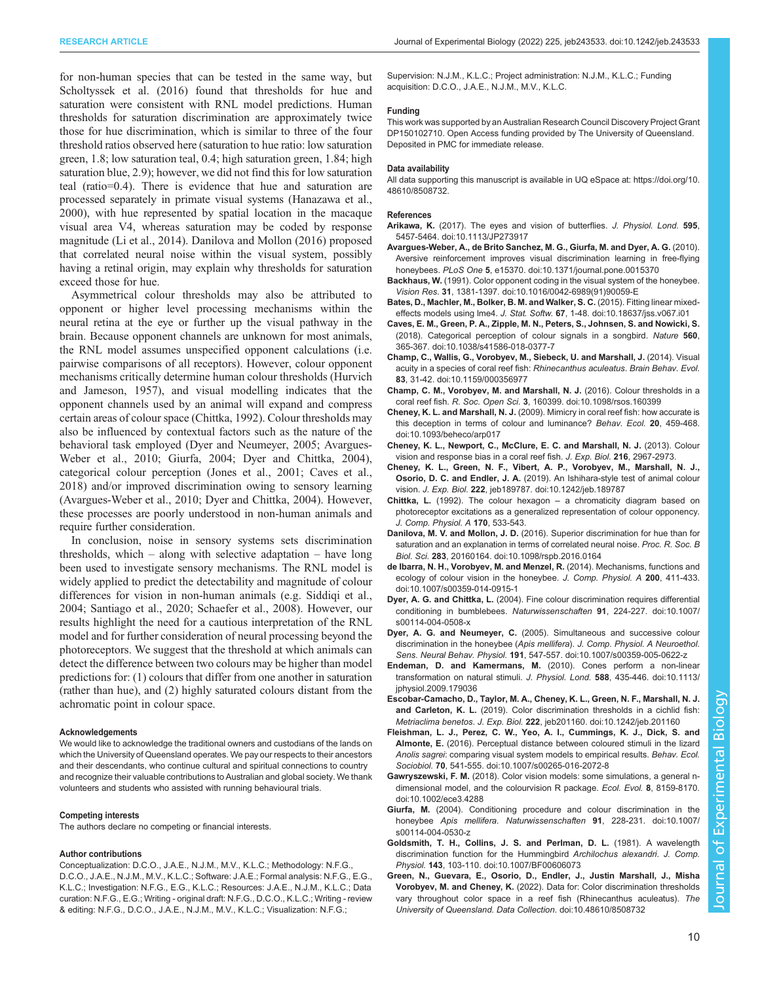<span id="page-9-0"></span>for non-human species that can be tested in the same way, but [Scholtyssek et al. \(2016\)](#page-10-0) found that thresholds for hue and saturation were consistent with RNL model predictions. Human thresholds for saturation discrimination are approximately twice those for hue discrimination, which is similar to three of the four threshold ratios observed here (saturation to hue ratio: low saturation green, 1.8; low saturation teal, 0.4; high saturation green, 1.84; high saturation blue, 2.9); however, we did not find this for low saturation teal (ratio=0.4). There is evidence that hue and saturation are processed separately in primate visual systems ([Hanazawa et al.,](#page-10-0) [2000](#page-10-0)), with hue represented by spatial location in the macaque visual area V4, whereas saturation may be coded by response magnitude [\(Li et al., 2014](#page-10-0)). Danilova and Mollon (2016) proposed that correlated neural noise within the visual system, possibly having a retinal origin, may explain why thresholds for saturation exceed those for hue.

Asymmetrical colour thresholds may also be attributed to opponent or higher level processing mechanisms within the neural retina at the eye or further up the visual pathway in the brain. Because opponent channels are unknown for most animals, the RNL model assumes unspecified opponent calculations (i.e. pairwise comparisons of all receptors). However, colour opponent mechanisms critically determine human colour thresholds [\(Hurvich](#page-10-0) [and Jameson, 1957](#page-10-0)), and visual modelling indicates that the opponent channels used by an animal will expand and compress certain areas of colour space (Chittka, 1992). Colour thresholds may also be influenced by contextual factors such as the nature of the behavioral task employed (Dyer and Neumeyer, 2005; Avargues-Weber et al., 2010; Giurfa, 2004; Dyer and Chittka, 2004), categorical colour perception ([Jones et al., 2001](#page-10-0); Caves et al., 2018) and/or improved discrimination owing to sensory learning (Avargues-Weber et al., 2010; Dyer and Chittka, 2004). However, these processes are poorly understood in non-human animals and require further consideration.

In conclusion, noise in sensory systems sets discrimination thresholds, which – along with selective adaptation – have long been used to investigate sensory mechanisms. The RNL model is widely applied to predict the detectability and magnitude of colour differences for vision in non-human animals (e.g. [Siddiqi et al.,](#page-10-0) [2004](#page-10-0); [Santiago et al., 2020](#page-10-0); [Schaefer et al., 2008\)](#page-10-0). However, our results highlight the need for a cautious interpretation of the RNL model and for further consideration of neural processing beyond the photoreceptors. We suggest that the threshold at which animals can detect the difference between two colours may be higher than model predictions for: (1) colours that differ from one another in saturation (rather than hue), and (2) highly saturated colours distant from the achromatic point in colour space.

#### Acknowledgements

We would like to acknowledge the traditional owners and custodians of the lands on which the University of Queensland operates. We pay our respects to their ancestors and their descendants, who continue cultural and spiritual connections to country and recognize their valuable contributions to Australian and global society. We thank volunteers and students who assisted with running behavioural trials.

#### Competing interests

The authors declare no competing or financial interests.

#### Author contributions

Conceptualization: D.C.O., J.A.E., N.J.M., M.V., K.L.C.; Methodology: N.F.G., D.C.O., J.A.E., N.J.M., M.V., K.L.C.; Software: J.A.E.; Formal analysis: N.F.G., E.G., K.L.C.; Investigation: N.F.G., E.G., K.L.C.; Resources: J.A.E., N.J.M., K.L.C.; Data curation: N.F.G., E.G.; Writing - original draft: N.F.G., D.C.O., K.L.C.; Writing - review & editing: N.F.G., D.C.O., J.A.E., N.J.M., M.V., K.L.C.; Visualization: N.F.G.;

Supervision: N.J.M., K.L.C.; Project administration: N.J.M., K.L.C.; Funding acquisition: D.C.O., J.A.E., N.J.M., M.V., K.L.C.

#### Funding

This work was supported by an Australian Research Council Discovery Project Grant DP150102710. Open Access funding provided by The University of Queensland. Deposited in PMC for immediate release.

#### Data availability

All data supporting this manuscript is available in UQ eSpace at: [https://doi.org/10.](https://doi.org/10.48610/8508732) [48610/8508732](https://doi.org/10.48610/8508732).

#### References

- Arikawa, K. [\(2017\). The eyes and vision of butterflies.](https://doi.org/10.1113/JP273917) J. Physiol. Lond. 595, [5457-5464. doi:10.1113/JP273917](https://doi.org/10.1113/JP273917)
- [Avargues-Weber, A., de Brito Sanchez, M. G., Giurfa, M. and Dyer, A. G.](https://doi.org/10.1371/journal.pone.0015370) (2010). [Aversive reinforcement improves visual discrimination learning in free-flying](https://doi.org/10.1371/journal.pone.0015370) honeybees. PLoS One 5[, e15370. doi:10.1371/journal.pone.0015370](https://doi.org/10.1371/journal.pone.0015370)
- Backhaus, W. [\(1991\). Color opponent coding in the visual system of the honeybee.](https://doi.org/10.1016/0042-6989(91)90059-E) Vision Res. 31[, 1381-1397. doi:10.1016/0042-6989\(91\)90059-E](https://doi.org/10.1016/0042-6989(91)90059-E)
- [Bates, D., Machler, M., Bolker, B. M. and Walker, S. C.](https://doi.org/10.18637/jss.v067.i01) (2015). Fitting linear mixedeffects models using lme4. J. Stat. Softw. 67[, 1-48. doi:10.18637/jss.v067.i01](https://doi.org/10.18637/jss.v067.i01)
- [Caves, E. M., Green, P. A., Zipple, M. N., Peters, S., Johnsen, S. and Nowicki, S.](https://doi.org/10.1038/s41586-018-0377-7) [\(2018\). Categorical perception of colour signals in a songbird.](https://doi.org/10.1038/s41586-018-0377-7) Nature 560, [365-367. doi:10.1038/s41586-018-0377-7](https://doi.org/10.1038/s41586-018-0377-7)
- [Champ, C., Wallis, G., Vorobyev, M., Siebeck, U. and Marshall, J.](https://doi.org/10.1159/000356977) (2014). Visual [acuity in a species of coral reef fish:](https://doi.org/10.1159/000356977) Rhinecanthus aculeatus. Brain Behav. Evol. 83[, 31-42. doi:10.1159/000356977](https://doi.org/10.1159/000356977)
- [Champ, C. M., Vorobyev, M. and Marshall, N. J.](https://doi.org/10.1098/rsos.160399) (2016). Colour thresholds in a coral reef fish. R. Soc. Open Sci. 3[, 160399. doi:10.1098/rsos.160399](https://doi.org/10.1098/rsos.160399)
- Cheney, K. L. and Marshall, N. J. [\(2009\). Mimicry in coral reef fish: how accurate is](https://doi.org/10.1093/beheco/arp017) [this deception in terms of colour and luminance?](https://doi.org/10.1093/beheco/arp017) Behav. Ecol. 20, 459-468. [doi:10.1093/beheco/arp017](https://doi.org/10.1093/beheco/arp017)
- Cheney, K. L., Newport, C., McClure, E. C. and Marshall, N. J. (2013). Colour vision and response bias in a coral reef fish. J. Exp. Biol. 216, 2967-2973.
- [Cheney, K. L., Green, N. F., Vibert, A. P., Vorobyev, M., Marshall, N. J.,](https://doi.org/10.1242/jeb.189787) Osorio, D. C. and Endler, J. A. [\(2019\). An Ishihara-style test of animal colour](https://doi.org/10.1242/jeb.189787) vision. J. Exp. Biol. 222[, jeb189787. doi:10.1242/jeb.189787](https://doi.org/10.1242/jeb.189787)
- Chittka, L. (1992). The colour hexagon a chromaticity diagram based on photoreceptor excitations as a generalized representation of colour opponency. J. Comp. Physiol. A 170, 533-543.
- Danilova, M. V. and Mollon, J. D. [\(2016\). Superior discrimination for hue than for](https://doi.org/10.1098/rspb.2016.0164) [saturation and an explanation in terms of correlated neural noise.](https://doi.org/10.1098/rspb.2016.0164) Proc. R. Soc. B Biol. Sci. 283[, 20160164. doi:10.1098/rspb.2016.0164](https://doi.org/10.1098/rspb.2016.0164)
- [de Ibarra, N. H., Vorobyev, M. and Menzel, R.](https://doi.org/10.1007/s00359-014-0915-1) (2014). Mechanisms, functions and [ecology of colour vision in the honeybee.](https://doi.org/10.1007/s00359-014-0915-1) J. Comp. Physiol. A 200, 411-433. [doi:10.1007/s00359-014-0915-1](https://doi.org/10.1007/s00359-014-0915-1)
- Dyer, A. G. and Chittka, L. [\(2004\). Fine colour discrimination requires differential](https://doi.org/10.1007/s00114-004-0508-x) [conditioning in bumblebees.](https://doi.org/10.1007/s00114-004-0508-x) Naturwissenschaften 91, 224-227. doi:10.1007/ [s00114-004-0508-x](https://doi.org/10.1007/s00114-004-0508-x)
- Dyer, A. G. and Neumeyer, C. [\(2005\). Simultaneous and successive colour](https://doi.org/10.1007/s00359-005-0622-z) discrimination in the honeybee (Apis mellifera). [J. Comp. Physiol. A Neuroethol.](https://doi.org/10.1007/s00359-005-0622-z) Sens. Neural Behav. Physiol. 191[, 547-557. doi:10.1007/s00359-005-0622-z](https://doi.org/10.1007/s00359-005-0622-z)
- [Endeman, D. and Kamermans, M.](https://doi.org/10.1113/jphysiol.2009.179036) (2010). Cones perform a non-linear [transformation on natural stimuli.](https://doi.org/10.1113/jphysiol.2009.179036) J. Physiol. Lond. 588, 435-446. doi:10.1113/ [jphysiol.2009.179036](https://doi.org/10.1113/jphysiol.2009.179036)
- [Escobar-Camacho, D., Taylor, M. A., Cheney, K. L., Green, N. F., Marshall, N. J.](https://doi.org/10.1242/jeb.201160) and Carleton, K. L. [\(2019\). Color discrimination thresholds in a cichlid fish:](https://doi.org/10.1242/jeb.201160) Metriaclima benetos. J. Exp. Biol. 222[, jeb201160. doi:10.1242/jeb.201160](https://doi.org/10.1242/jeb.201160)
- [Fleishman, L. J., Perez, C. W., Yeo, A. I., Cummings, K. J., Dick, S. and](https://doi.org/10.1007/s00265-016-2072-8) Almonte, E. [\(2016\). Perceptual distance between coloured stimuli in the lizard](https://doi.org/10.1007/s00265-016-2072-8) Anolis sagrei[: comparing visual system models to empirical results.](https://doi.org/10.1007/s00265-016-2072-8) Behav. Ecol. Sociobiol. 70[, 541-555. doi:10.1007/s00265-016-2072-8](https://doi.org/10.1007/s00265-016-2072-8)
- Gawryszewski, F. M. [\(2018\). Color vision models: some simulations, a general n](https://doi.org/10.1002/ece3.4288)[dimensional model, and the colourvision R package.](https://doi.org/10.1002/ece3.4288) Ecol. Evol. 8, 8159-8170. [doi:10.1002/ece3.4288](https://doi.org/10.1002/ece3.4288)
- Giurfa, M. [\(2004\). Conditioning procedure and colour discrimination in the](https://doi.org/10.1007/s00114-004-0530-z) honeybee Apis mellifera. Naturwissenschaften 91[, 228-231. doi:10.1007/](https://doi.org/10.1007/s00114-004-0530-z) [s00114-004-0530-z](https://doi.org/10.1007/s00114-004-0530-z)
- [Goldsmith, T. H., Collins, J. S. and Perlman, D. L.](https://doi.org/10.1007/BF00606073) (1981). A wavelength [discrimination function for the Hummingbird](https://doi.org/10.1007/BF00606073) Archilochus alexandri. J. Comp. Physiol. 143[, 103-110. doi:10.1007/BF00606073](https://doi.org/10.1007/BF00606073)
- [Green, N., Guevara, E., Osorio, D., Endler, J., Justin Marshall, J., Misha](https://doi.org/10.48610/8508732) Vorobyev, M. and Cheney, K. [\(2022\). Data for: Color discrimination thresholds](https://doi.org/10.48610/8508732) [vary throughout color space in a reef fish \(Rhinecanthus aculeatus\).](https://doi.org/10.48610/8508732) The [University of Queensland. Data Collection](https://doi.org/10.48610/8508732). doi:10.48610/8508732